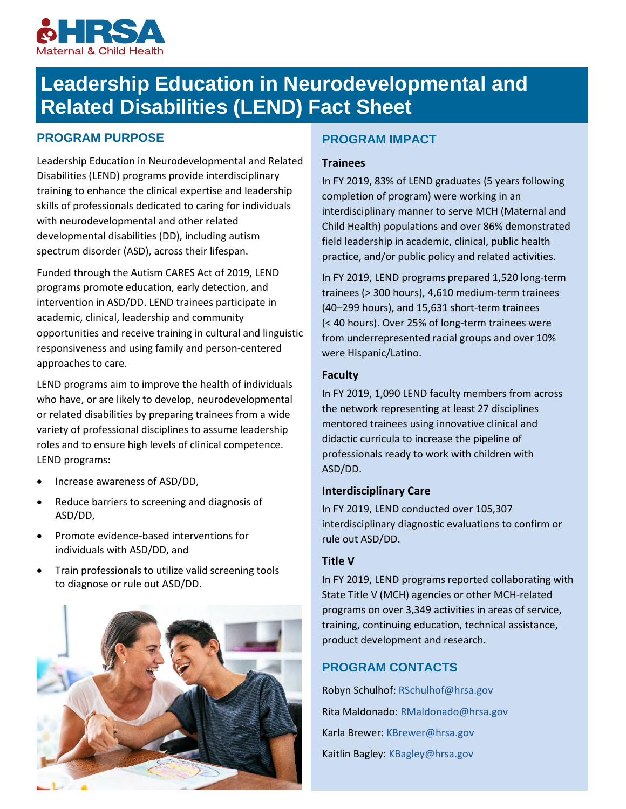

# **Leadership Education in Neurodevelopmental and Related Disabilities (LEND) Fact Sheet**

# **PROGRAM PURPOSE**

Leadership Education in Neurodevelopmental and Related Disabilities (LEND) programs provide interdisciplinary training to enhance the clinical expertise and leadership skills of professionals dedicated to caring for individuals with neurodevelopmental and other related developmental disabilities (DD), including autism spectrum disorder (ASD), across their lifespan.

Funded through the Autism CARES Act of 2019, LEND programs promote education, early detection, and intervention in ASD/DD. LEND trainees participate in academic, clinical, leadership and community opportunities and receive training in cultural and linguistic responsiveness and using family and person-centered approaches to care.

LEND programs aim to improve the health of individuals who have, or are likely to develop, neurodevelopmental or related disabilities by preparing trainees from a wide variety of professional disciplines to assume leadership roles and to ensure high levels of clinical competence. LEND programs:

- Increase awareness of ASD/DD,
- Reduce barriers to screening and diagnosis of ASD/DD,
- Promote evidence-based interventions for individuals with ASD/DD, and
- Train professionals to utilize valid screening tools to diagnose or rule out ASD/DD.



# **PROGRAM IMPACT**

## **Trainees**

In FY 2019, 83% of LEND graduates (5 years following completion of program) were working in an interdisciplinary manner to serve MCH (Maternal and Child Health) populations and over 86% demonstrated field leadership in academic, clinical, public health practice, and/or public policy and related activities.

In FY 2019, LEND programs prepared 1,520 long-term trainees (> 300 hours), 4,610 medium-term trainees (40–299 hours), and 15,631 short-term trainees (< 40 hours). Over 25% of long-term trainees were from underrepresented racial groups and over 10% were Hispanic/Latino.

## **Faculty**

In FY 2019, 1,090 LEND faculty members from across the network representing at least 27 disciplines mentored trainees using innovative clinical and didactic curricula to increase the pipeline of professionals ready to work with children with ASD/DD.

## **Interdisciplinary Care**

In FY 2019, LEND conducted over 105,307 interdisciplinary diagnostic evaluations to confirm or rule out ASD/DD.

## **Title V**

In FY 2019, LEND programs reported collaborating with State Title V (MCH) agencies or other MCH-related programs on over 3,349 activities in areas of service, training, continuing education, technical assistance, product development and research.

# **PROGRAM CONTACTS**

Robyn Schulhof: [RSchulhof@hrsa.gov](mailto:RSchulhof@hrsa.gov) Rita Maldonado: [RMaldonado@hrsa.gov](mailto:RMaldonado@hrsa.gov) Karla Brewer: [KBrewer@hrsa.gov](mailto:KBrewer@hrsa.gov) Kaitlin Bagley: [KBagley@hrsa.gov](mailto:KBagley@hrsa.gov)